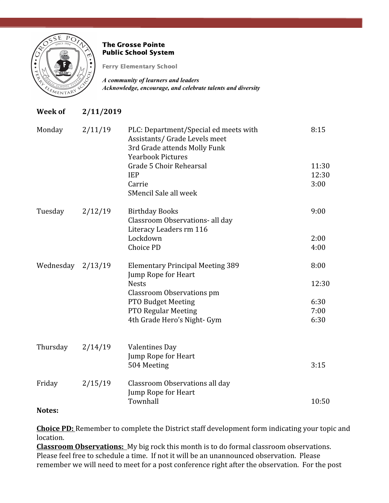

# The Grosse Pointe Public School System

Ferry Elementary School

*A community of learners and leaders Acknowledge, encourage, and celebrate talents and diversity*

# **Week of 2/11/2019**

| Monday    | 2/11/19 | PLC: Department/Special ed meets with<br>Assistants/ Grade Levels meet<br>3rd Grade attends Molly Funk<br><b>Yearbook Pictures</b> | 8:15  |
|-----------|---------|------------------------------------------------------------------------------------------------------------------------------------|-------|
|           |         | Grade 5 Choir Rehearsal                                                                                                            | 11:30 |
|           |         | <b>IEP</b>                                                                                                                         | 12:30 |
|           |         | Carrie                                                                                                                             | 3:00  |
|           |         | SMencil Sale all week                                                                                                              |       |
| Tuesday   | 2/12/19 | <b>Birthday Books</b>                                                                                                              | 9:00  |
|           |         | Classroom Observations- all day                                                                                                    |       |
|           |         | Literacy Leaders rm 116                                                                                                            |       |
|           |         | Lockdown                                                                                                                           | 2:00  |
|           |         | <b>Choice PD</b>                                                                                                                   | 4:00  |
| Wednesday | 2/13/19 | <b>Elementary Principal Meeting 389</b>                                                                                            | 8:00  |
|           |         | Jump Rope for Heart                                                                                                                |       |
|           |         | <b>Nests</b>                                                                                                                       | 12:30 |
|           |         | <b>Classroom Observations pm</b>                                                                                                   |       |
|           |         | <b>PTO Budget Meeting</b>                                                                                                          | 6:30  |
|           |         | PTO Regular Meeting                                                                                                                | 7:00  |
|           |         | 4th Grade Hero's Night- Gym                                                                                                        | 6:30  |
|           |         |                                                                                                                                    |       |
| Thursday  | 2/14/19 | <b>Valentines Day</b>                                                                                                              |       |
|           |         | Jump Rope for Heart                                                                                                                | 3:15  |
|           |         | 504 Meeting                                                                                                                        |       |
| Friday    | 2/15/19 | Classroom Observations all day                                                                                                     |       |
|           |         | Jump Rope for Heart                                                                                                                |       |
|           |         | Townhall                                                                                                                           | 10:50 |

# **Notes:**

**Choice PD:** Remember to complete the District staff development form indicating your topic and location.

**Classroom Observations:** My big rock this month is to do formal classroom observations. Please feel free to schedule a time. If not it will be an unannounced observation. Please remember we will need to meet for a post conference right after the observation. For the post